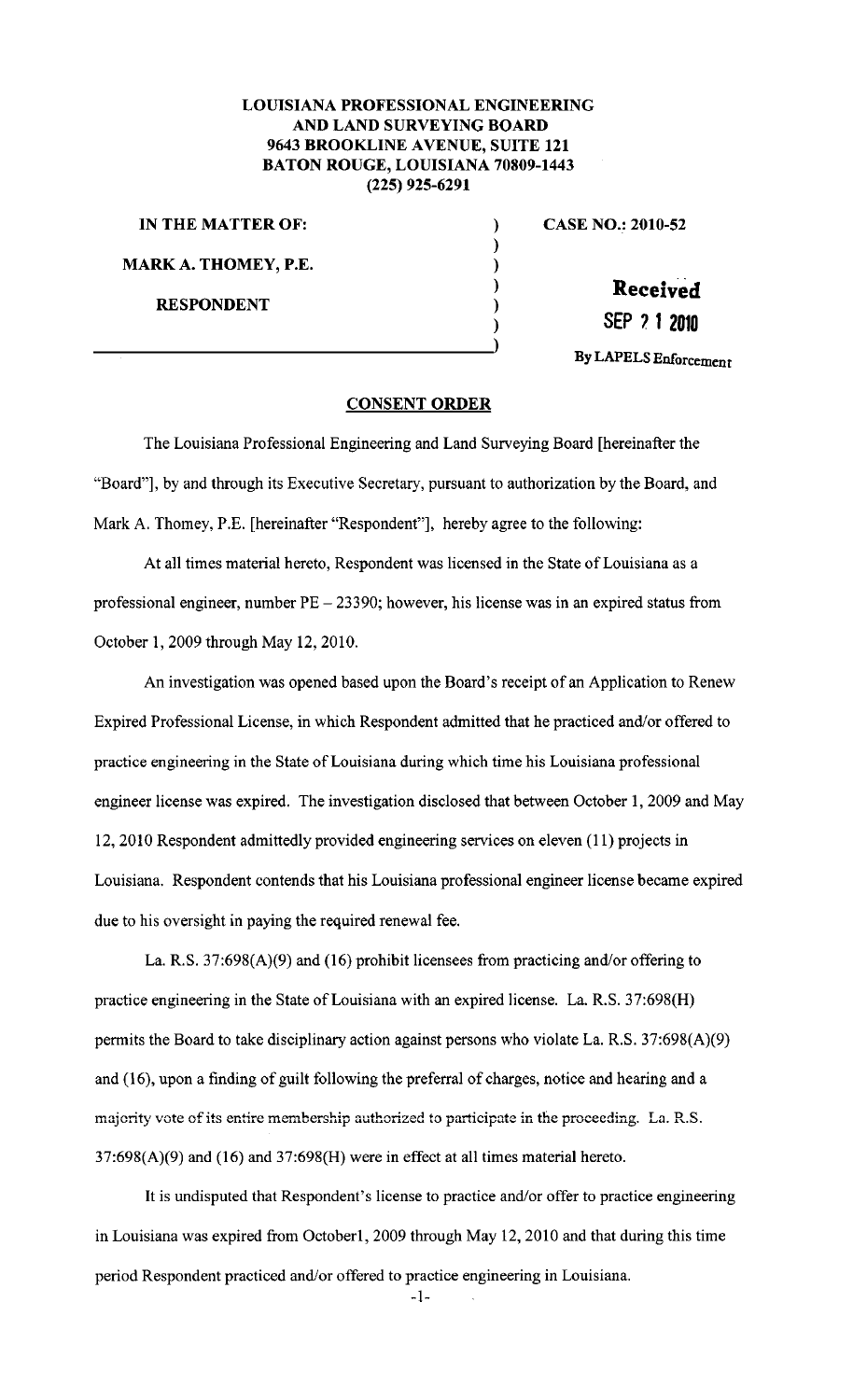## LOUISIANA PROFESSIONAL ENGINEERING AND LAND SURVEYING BOARD 9643 BROOKLINE AVENUE, SUITE 121 BATON ROUGE, LOUISIANA 70809-1443 (225) 925-6291

) ) ) ) )

IN THE MATTER OF:  $\qquad \qquad$ ) MARK A. THOMEY, P.E. RESPONDENT

CASE NO.: 2010-52

**Received** 

SEP *1* 1 **<sup>2010</sup>**

By LAPELS Enforcement

## CONSENT ORDER

The Louisiana Professional Engineering and Land Surveying Board [hereinafter the "Board"], by and through its Executive Secretary, pursuant to authorization by the Board, and Mark A. Thomey, P.E. [hereinafter "Respondent"], hereby agree to the following:

At all times material hereto, Respondent was licensed in the State of Louisiana as a professional engineer, number PE- 23390; however, his license was in an expired status from October 1, 2009 through May 12,2010.

An investigation was opened based upon the Board's receipt of an Application to Renew Expired Professional License, in which Respondent admitted that he practiced and/or offered to practice engineering in the State of Louisiana during which time his Louisiana professional engineer license was expired. The investigation disclosed that between October 1, 2009 and May 12, 2010 Respondent admittedly provided engineering services on eleven (11) projects in Louisiana. Respondent contends that his Louisiana professional engineer license became expired due to his oversight in paying the required renewal fee.

La. R.S. 37:698(A)(9) and (16) prohibit licensees from practicing and/or offering to practice engineering in the State of Louisiana with an expired license. La. R.S. 37:698(H) permits the Board to take disciplinary action against persons who violate La. R.S. 37:698(A)(9) and (16), upon a finding of guilt following the preferral of charges, notice and hearing and a majority vote of its entire membership authorized to participate in the proceeding. La. R.S.  $37:698(A)(9)$  and  $(16)$  and  $37:698(H)$  were in effect at all times material hereto.

It is undisputed that Respondent's license to practice and/or offer to practice engineering in Louisiana was expired from October1, 2009 through May 12, 2010 and that during this time period Respondent practiced and/or offered to practice engineering in Louisiana.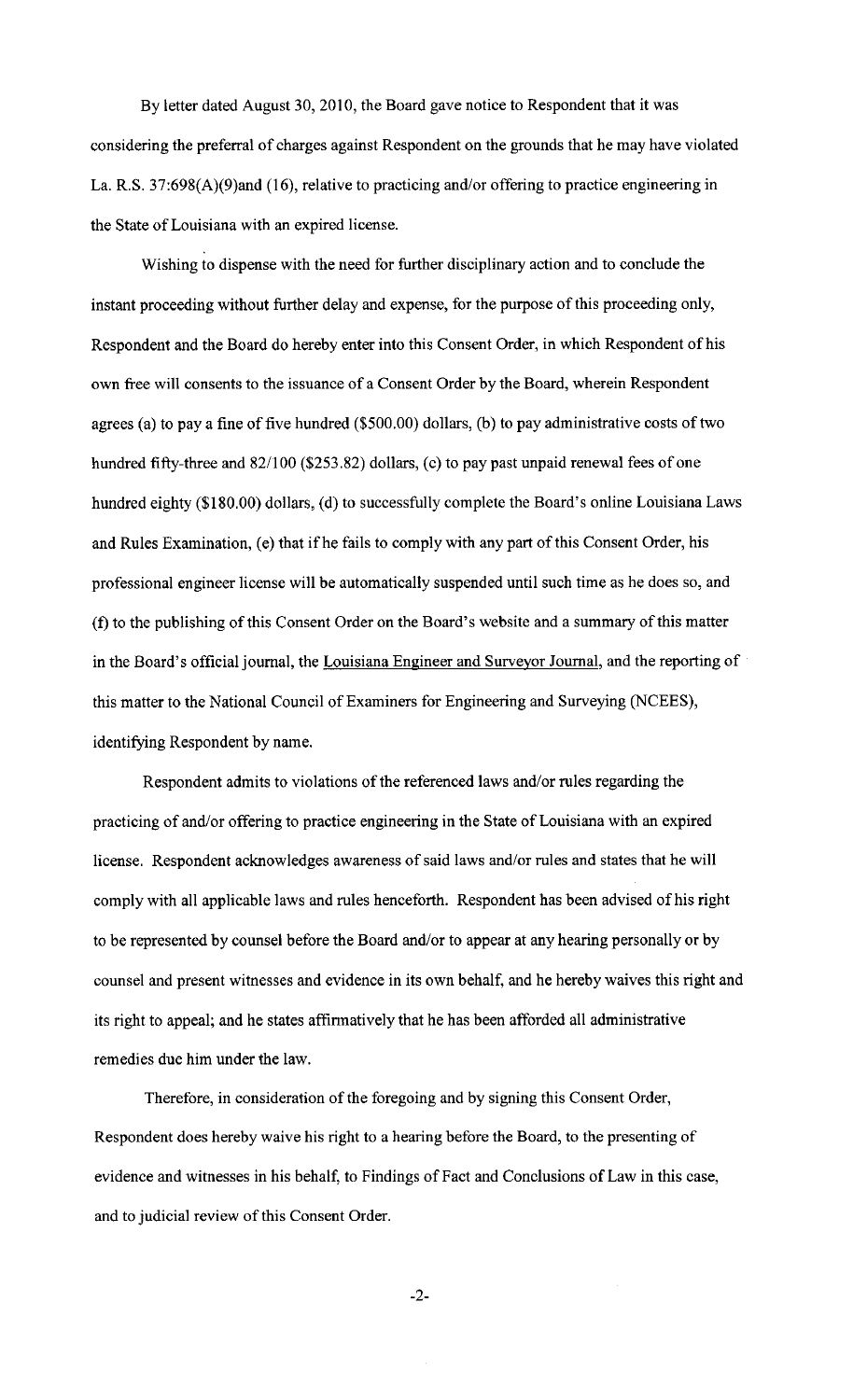By letter dated August 30, 2010, the Board gave notice to Respondent that it was considering the preferral of charges against Respondent on the grounds that he may have violated La. R.S. 37:698(A)(9)and (16), relative to practicing and/or offering to practice engineering in the State of Louisiana with an expired license.

Wishing to dispense with the need for further disciplinary action and to conclude the instant proceeding without further delay and expense, for the purpose of this proceeding only, Respondent and the Board do hereby enter into this Consent Order, in which Respondent of his own free will consents to the issuance of a Consent Order by the Board, wherein Respondent agrees (a) to pay a fine of five hundred (\$500.00) dollars, (b) to pay administrative costs of two hundred fifty-three and 82/100 (\$253.82) dollars, (c) to pay past unpaid renewal fees of one hundred eighty (\$180.00) dollars, (d) to successfully complete the Board's online Louisiana Laws and Rules Examination, (e) that if he fails to comply with any part of this Consent Order, his professional engineer license will be automatically suspended until such time as he does so, and (f) to the publishing of this Consent Order on the Board's website and a summary of this matter in the Board's official journal, the Louisiana Engineer and Surveyor Journal, and the reporting of this matter to the National Council of Examiners for Engineering and Surveying (NCEES), identifying Respondent by name.

Respondent admits to violations of the referenced laws and/or rules regarding the practicing of and/or offering to practice engineering in the State of Louisiana with an expired license. Respondent acknowledges awareness of said laws and/or rules and states that he will comply with all applicable laws and rules henceforth. Respondent has been advised of his right to be represented by counsel before the Board and/or to appear at any hearing personally or by counsel and present witnesses and evidence in its own behalf, and he hereby waives this right and its right to appeal; and he states affirmatively that he has been afforded all administrative remedies due him under the law.

Therefore, in consideration of the foregoing and by signing this Consent Order, Respondent does hereby waive his right to a hearing before the Board, to the presenting of evidence and witnesses in his behalf, to Findings of Fact and Conclusions of Law in this case, and to judicial review of this Consent Order.

-2-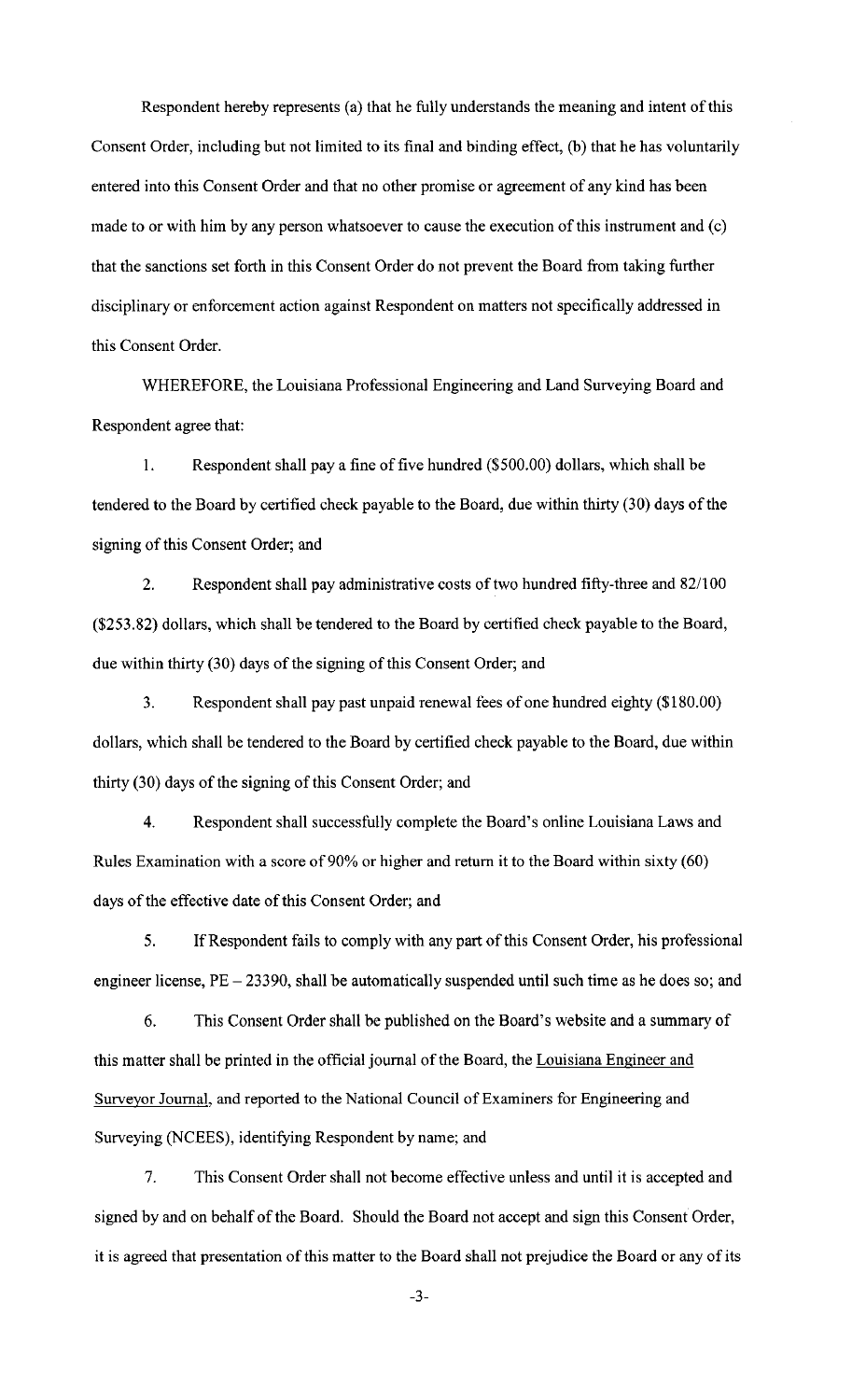Respondent hereby represents (a) that he fully understands the meaning and intent of this Consent Order, including but not limited to its final and binding effect, (b) that he has voluntarily entered into this Consent Order and that no other promise or agreement of any kind has been made to or with him by any person whatsoever to cause the execution of this instrument and (c) that the sanctions set forth in this Consent Order do not prevent the Board from taking further disciplinary or enforcement action against Respondent on matters not specifically addressed in this Consent Order.

WHEREFORE, the Louisiana Professional Engineering and Land Surveying Board and Respondent agree that:

I. Respondent shall pay a fine of five hundred (\$500.00) dollars, which shall be tendered to the Board by certified check payable to the Board, due within thirty (30) days of the signing of this Consent Order; and

2. Respondent shall pay administrative costs of two hundred fifty-three and 82/100 (\$253.82) dollars, which shall be tendered to the Board by certified check payable to the Board, due within thirty (30) days of the signing of this Consent Order; and

3. Respondent shall pay past unpaid renewal fees of one hundred eighty (\$180.00) dollars, which shall be tendered to the Board by certified check payable to the Board, due within thirty (30) days of the signing of this Consent Order; and

4. Respondent shall successfully complete the Board's online Louisiana Laws and Rules Examination with a score of 90% or higher and return it to the Board within sixty (60) days of the effective date of this Consent Order; and

5. If Respondent fails to comply with any part of this Consent Order, his professional engineer license, PE - 23390, shall be automatically suspended until such time as he does so; and

6. This Consent Order shall be published on the Board's website and a summary of this matter shall be printed in the official journal of the Board, the Louisiana Engineer and Surveyor Journal, and reported to the National Council of Examiners for Engineering and Surveying (NCEES), identifying Respondent by name; and

7. This Consent Order shall not become effective unless and until it is accepted and signed by and on behalf of the Board. Should the Board not accept and sign this Consent Order, it is agreed that presentation of this matter to the Board shall not prejudice the Board or any of its

-3-